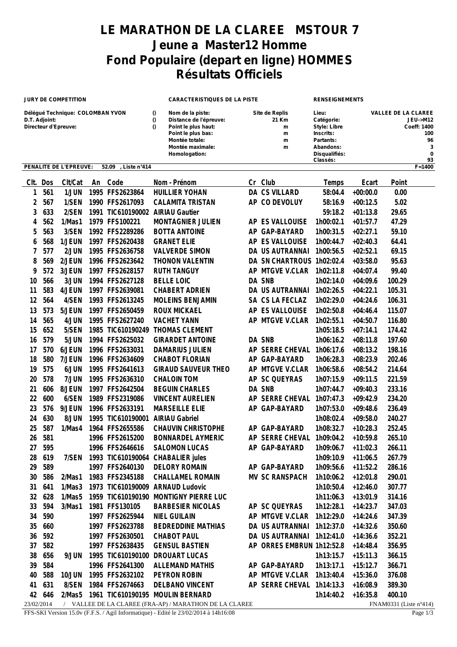## **LE MARATHON DE LA CLAREE MSTOUR 7 Jeune a Master12 Homme Fond Populaire (depart en ligne) HOMMES Résultats Officiels**

| <b>JURY DE COMPETITION</b>                                                |            |                        | <b>CARACTERISTIQUES DE LA PISTE</b> |                                      |                                  |                                                                                                                                                | <b>RENSEIGNEMENTS</b> |                                             |                                                                                                                |                                                                        |                        |
|---------------------------------------------------------------------------|------------|------------------------|-------------------------------------|--------------------------------------|----------------------------------|------------------------------------------------------------------------------------------------------------------------------------------------|-----------------------|---------------------------------------------|----------------------------------------------------------------------------------------------------------------|------------------------------------------------------------------------|------------------------|
| Délégué Technique: COLOMBAN YVON<br>D.T. Adjoint:<br>Directeur d'Epreuve: |            |                        |                                     |                                      | $\bf{0}$<br>$\bf{0}$<br>$\bf{0}$ | Nom de la piste:<br>Distance de l'épreuve:<br>Point le plus haut:<br>Point le plus bas:<br>Montée totale:<br>Montée maximale:<br>Homologation: |                       | Site de Replis<br>21 Km<br>m<br>m<br>m<br>m | Lieu:<br>Catégorie:<br><b>Style: Libre</b><br>Inscrits:<br>Partants:<br>Abandons:<br>Disqualifiés:<br>Classés: | <b>VALLEE DE LA CLAREE</b><br><b>JEU-&gt;M12</b><br>Coeff: 1400<br>100 |                        |
|                                                                           |            | PENALITE DE L'EPREUVE: |                                     | 52.09<br>Liste n°414                 |                                  |                                                                                                                                                |                       |                                             |                                                                                                                |                                                                        | $F = 1400$             |
| Clt.                                                                      | Dos        | Clt/Cat                | An                                  | Code                                 |                                  | Nom - Prénom                                                                                                                                   |                       | Cr Club                                     | Temps                                                                                                          | Ecart                                                                  | Point                  |
| 1                                                                         | 561        | 1/JUN                  |                                     | 1995 FFS2623864                      |                                  | <b>HUILLIER YOHAN</b>                                                                                                                          |                       | <b>DA CS VILLARD</b>                        | 58:04.4                                                                                                        | $+00:00.0$                                                             | 0.00                   |
| 2                                                                         | 567        | 1/SEN                  |                                     | 1990 FFS2617093                      |                                  | <b>CALAMITA TRISTAN</b>                                                                                                                        |                       | AP CO DEVOLUY                               | 58:16.9                                                                                                        | $+00:12.5$                                                             | 5.02                   |
| 3                                                                         | 633        | 2/SEN                  |                                     | 1991 TIC610190002 AIRIAU Gautier     |                                  |                                                                                                                                                |                       |                                             | 59:18.2                                                                                                        | $+01:13.8$                                                             | 29.65                  |
| 4                                                                         | 562        | 1/Mas1                 |                                     | 1979 FFS100221                       |                                  | MONTAGNIER JULIEN                                                                                                                              |                       | AP ES VALLOUISE                             | 1h00:02.1                                                                                                      | $+01:57.7$                                                             | 47.29                  |
| 5                                                                         | 563        | 3/SEN                  |                                     | 1992 FFS2289286                      |                                  | <b>BOTTA ANTOINE</b>                                                                                                                           | AP                    | GAP-BAYARD                                  | 1h00:31.5                                                                                                      | $+02:27.1$                                                             | 59.10                  |
| 6                                                                         | 568        | 1/JEUN                 |                                     | 1997 FFS2620438                      |                                  | <b>GRANET ELIE</b>                                                                                                                             |                       | AP ES VALLOUISE                             | 1h00:44.7                                                                                                      | $+02:40.3$                                                             | 64.41                  |
| 7                                                                         | 577        | 2/JUN                  |                                     | 1995 FFS2636758                      |                                  | <b>VALVERDE SIMON</b>                                                                                                                          |                       | DA US AUTRANNAI                             | 1h00:56.5                                                                                                      | $+02:52.1$                                                             | 69.15                  |
| 8                                                                         | 569        | 2/JEUN                 |                                     | 1996 FFS2623642                      |                                  | THONON VALENTIN                                                                                                                                |                       | DA SN CHARTROUS 1h02:02.4                   |                                                                                                                | $+03:58.0$                                                             | 95.63                  |
| 9                                                                         | 572        | 3/JEUN                 |                                     | 1997 FFS2628157                      |                                  | <b>RUTH TANGUY</b>                                                                                                                             | AP                    | MTGVE V.CLAR                                | 1h02:11.8                                                                                                      | $+04:07.4$                                                             | 99.40                  |
| 10                                                                        | 566        | 3/JUN                  |                                     | 1994 FFS2627128                      |                                  | <b>BELLE LOIC</b>                                                                                                                              |                       | DA SNB                                      | 1h02:14.0                                                                                                      | $+04:09.6$                                                             | 100.29                 |
| 11                                                                        | 583        | 4/JEUN                 |                                     | 1997 FFS2639081                      |                                  | <b>CHABERT ADRIEN</b>                                                                                                                          |                       | DA US AUTRANNAI                             | 1h02:26.5                                                                                                      | $+04:22.1$                                                             | 105.31                 |
| 12                                                                        | 564        | 4/SEN                  |                                     | 1993 FFS2613245                      |                                  | MOLEINS BENJAMIN                                                                                                                               |                       | SA CS LA FECLAZ                             | 1h02:29.0                                                                                                      | $+04:24.6$                                                             | 106.31                 |
| 13                                                                        | 573        | 5/JEUN                 |                                     | 1997 FFS2650459                      |                                  | <b>ROUX MICKAEL</b>                                                                                                                            |                       | AP ES VALLOUISE                             | 1h02:50.8                                                                                                      | $+04:46.4$                                                             | 115.07                 |
| 14                                                                        | 565        | 4/JUN                  |                                     | 1995 FFS2627240                      |                                  | <b>VACHET YANN</b>                                                                                                                             |                       | AP MTGVE V.CLAR                             | 1h02:55.1                                                                                                      | $+04:50.7$                                                             | 116.80                 |
| 15                                                                        | 652        | 5/SEN                  |                                     | 1985 TIC610190249                    |                                  | THOMAS CLEMENT                                                                                                                                 |                       |                                             | 1h05:18.5                                                                                                      | $+07:14.1$                                                             | 174.42                 |
| 16                                                                        | 579        | 5/JUN                  |                                     | 1994 FFS2625032                      |                                  | <b>GIRARDET ANTOINE</b>                                                                                                                        |                       | DA SNB                                      | 1h06:16.2                                                                                                      | $+08:11.8$                                                             | 197.60                 |
| 17                                                                        | 570        | 6/JEUN                 |                                     | 1996 FFS2633031                      |                                  | <b>DAMARIUS JULIEN</b>                                                                                                                         |                       | AP SERRE CHEVAL                             | 1h06:17.6                                                                                                      | $+08:13.2$                                                             | 198.16                 |
| 18                                                                        | 580        | 7/JEUN                 |                                     | 1996 FFS2634609                      |                                  | <b>CHABOT FLORIAN</b>                                                                                                                          |                       | AP GAP-BAYARD                               | 1h06:28.3                                                                                                      | $+08:23.9$                                                             | 202.46                 |
| 19                                                                        | 575        | 6/JUN                  |                                     | 1995 FFS2641613                      |                                  | <b>GIRAUD SAUVEUR THEO</b>                                                                                                                     | AP                    | <b>MTGVE V.CLAR</b>                         | 1h06:58.6                                                                                                      | $+08:54.2$                                                             | 214.64                 |
| 20                                                                        | 578        | 7/JUN                  |                                     | 1995 FFS2636310                      |                                  | <b>CHALOIN TOM</b>                                                                                                                             | AP                    | <b>SC QUEYRAS</b>                           | 1h07:15.9                                                                                                      | $+09:11.5$                                                             | 221.59                 |
| 21                                                                        | 606        | 8/JEUN                 |                                     | 1997 FFS2642504                      |                                  | <b>BEGUIN CHARLES</b>                                                                                                                          |                       | DA SNB                                      | 1h07:44.7                                                                                                      | $+09:40.3$                                                             | 233.16                 |
| 22                                                                        | 600        | 6/SEN                  |                                     | 1989 FFS2319086                      |                                  | <b>VINCENT AURELIEN</b>                                                                                                                        | AP.                   | <b>SERRE CHEVAL</b>                         | 1h07:47.3                                                                                                      | $+09:42.9$                                                             | 234.20                 |
| 23                                                                        | 576        | 9/JEUN                 |                                     | 1996 FFS2633191                      |                                  | <b>MARSEILLE ELIE</b>                                                                                                                          | AP                    | GAP-BAYARD                                  | 1h07:53.0                                                                                                      | $+09:48.6$                                                             | 236.49                 |
| 24<br>25                                                                  | 630<br>587 | 8/JUN                  |                                     | 1995 TIC610190001<br>1964 FFS2655586 |                                  | <b>AIRIAU Gabriel</b><br>CHAUVIN CHRISTOPHE                                                                                                    |                       | AP GAP-BAYARD                               | 1h08:02.4<br>1h08:32.7                                                                                         | $+09:58.0$<br>$+10:28.3$                                               | 240.27<br>252.45       |
| 26                                                                        | 581        | 1/Mas4                 |                                     | 1996 FFS2615200                      |                                  | <b>BONNARDEL AYMERIC</b>                                                                                                                       |                       | AP SERRE CHEVAL 1h09:04.2                   |                                                                                                                | $+10:59.8$                                                             | 265.10                 |
| 27                                                                        | 595        |                        |                                     | 1996 FFS2646616                      |                                  | <b>SALOMON LUCAS</b>                                                                                                                           |                       | AP GAP-BAYARD                               | 1h09:06.7                                                                                                      | $+11:02.3$                                                             | 266.11                 |
| 28                                                                        | 619        | 7/SEN                  |                                     | 1993 TIC610190064                    |                                  | <b>CHABALIER</b> jules                                                                                                                         |                       |                                             | 1h09:10.9                                                                                                      | $+11:06.5$                                                             | 267.79                 |
| 29                                                                        | 589        |                        |                                     | 1997 FFS2640130                      |                                  | <b>DELORY ROMAIN</b>                                                                                                                           |                       | AP GAP-BAYARD                               | 1h09:56.6                                                                                                      | $+11:52.2$                                                             | 286.16                 |
| 30                                                                        | 586        | 2/Mas1                 |                                     | 1983 FFS2345188                      |                                  | <b>CHALLAMEL ROMAIN</b>                                                                                                                        |                       | MV SC RANSPACH                              | 1h10:06.2                                                                                                      | $+12:01.8$                                                             | 290.01                 |
| 31                                                                        | 641        | 1/Mas3                 |                                     | 1973 TIC610190009 ARNAUD Ludovic     |                                  |                                                                                                                                                |                       |                                             | 1h10:50.4                                                                                                      | $+12:46.0$                                                             | 307.77                 |
| 32                                                                        | 628        | 1/Mas5                 |                                     |                                      |                                  | 1959 TIC610190190 MONTIGNY PIERRE LUC                                                                                                          |                       |                                             | 1h11:06.3                                                                                                      | $+13:01.9$                                                             | 314.16                 |
| 33                                                                        | 594        | 3/Mas1                 |                                     | 1981 FFS130105                       |                                  | <b>BARBESIER NICOLAS</b>                                                                                                                       |                       | AP SC QUEYRAS                               | 1h12:28.1                                                                                                      | $+14:23.7$                                                             | 347.03                 |
| 34                                                                        | 590        |                        |                                     | 1997 FFS2625944                      |                                  | <b>NIEL GUILAIN</b>                                                                                                                            |                       | AP MTGVE V.CLAR 1h12:29.0                   |                                                                                                                | $+14:24.6$                                                             | 347.39                 |
| 35                                                                        | 660        |                        |                                     | 1997 FFS2623788                      |                                  | <b>BEDREDDINE MATHIAS</b>                                                                                                                      |                       | DA US AUTRANNAI 1h12:37.0                   |                                                                                                                | $+14:32.6$                                                             | 350.60                 |
| 36                                                                        | 592        |                        |                                     | 1997 FFS2630501                      |                                  | CHABOT PAUL                                                                                                                                    |                       | DA US AUTRANNAI 1h12:41.0                   |                                                                                                                | $+14:36.6$                                                             | 352.21                 |
| 37                                                                        | 582        |                        |                                     | 1997 FFS2638435                      |                                  | <b>GENSUL BASTIEN</b>                                                                                                                          |                       | AP ORRES EMBRUN 1h12:52.8                   |                                                                                                                | $+14:48.4$                                                             | 356.95                 |
| 38                                                                        | 656        | 9/JUN                  |                                     | 1995 TIC610190100 DROUART LUCAS      |                                  |                                                                                                                                                |                       |                                             | 1h13:15.7                                                                                                      | $+15:11.3$                                                             | 366.15                 |
| 39                                                                        | 584        |                        |                                     | 1996 FFS2641300                      |                                  | <b>ALLEMAND MATHIS</b>                                                                                                                         |                       | AP GAP-BAYARD                               | 1h13:17.1                                                                                                      | $+15:12.7$                                                             | 366.71                 |
| 40                                                                        | 588        | <b>10/JUN</b>          |                                     | 1995 FFS2632102                      |                                  | PEYRON ROBIN                                                                                                                                   |                       | AP MTGVE V.CLAR 1h13:40.4                   |                                                                                                                | $+15:36.0$                                                             | 376.08                 |
| 41                                                                        | 631        | 8/SEN                  |                                     | 1984 FFS2674663                      |                                  | DELBANO VINCENT                                                                                                                                |                       | AP SERRE CHEVAL 1h14:13.3                   |                                                                                                                | $+16:08.9$                                                             | 389.30                 |
|                                                                           | 42 646     |                        |                                     |                                      |                                  | 2/Mas5 1961 TIC610190195 MOULIN BERNARD                                                                                                        |                       |                                             | 1h14:40.2                                                                                                      | $+16:35.8$                                                             | 400.10                 |
| 23/02/2014                                                                |            |                        |                                     |                                      |                                  | / VALLEE DE LA CLAREE (FRA-AP) / MARATHON DE LA CLAREE                                                                                         |                       |                                             |                                                                                                                |                                                                        | FNAM0331 (Liste n°414) |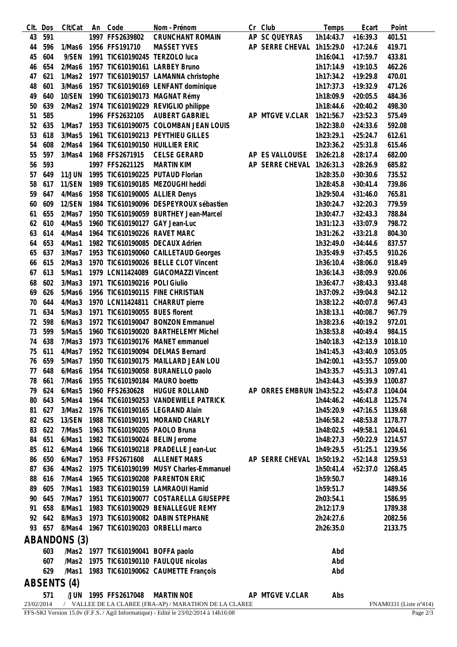| CIt.        | Dos | Clt/Cat       | An | Code                                | Nom - Prénom                                           |  | Cr Club                   | Temps     | Ecart            | Point                            |
|-------------|-----|---------------|----|-------------------------------------|--------------------------------------------------------|--|---------------------------|-----------|------------------|----------------------------------|
| 43          | 591 |               |    | 1997 FFS2639802                     | <b>CRUNCHANT ROMAIN</b>                                |  | AP SC QUEYRAS             | 1h14:43.7 | $+16:39.3$       | 401.51                           |
| 44          | 596 | 1/Mas6        |    | 1956 FFS191710                      | <b>MASSET YVES</b>                                     |  | AP SERRE CHEVAL 1h15:29.0 |           | $+17:24.6$       | 419.71                           |
| 45          | 604 | 9/SEN         |    |                                     | 1991 TIC610190245 TERZOLO luca                         |  |                           | 1h16:04.1 | $+17:59.7$       | 433.81                           |
| 46          | 654 | 2/Mas6        |    |                                     | 1957 TIC610190161 LARBEY Bruno                         |  |                           | 1h17:14.9 | $+19:10.5$       | 462.26                           |
| 47          | 621 | 1/Mas2        |    |                                     | 1977 TIC610190157 LAMANNA christophe                   |  |                           | 1h17:34.2 | $+19:29.8$       | 470.01                           |
| 48          | 601 | 3/Mas6        |    |                                     | 1957 TIC610190169 LENFANT dominique                    |  |                           | 1h17:37.3 | $+19:32.9$       | 471.26                           |
| 49          | 640 | 10/SEN        |    |                                     | 1990 TIC610190173 MAGNAT Rémy                          |  |                           | 1h18:09.9 | $+20:05.5$       | 484.36                           |
| 50          | 639 | 2/Mas2        |    |                                     | 1974 TIC610190229 REVIGLIO philippe                    |  |                           | 1h18:44.6 | $+20:40.2$       | 498.30                           |
| 51          | 585 |               |    | 1996 FFS2632105                     | AUBERT GABRIEL                                         |  | AP MTGVE V.CLAR           | 1h21:56.7 | $+23:52.3$       | 575.49                           |
| 52          | 635 | 1/Mas7        |    |                                     | 1953 TIC610190075 COLOMBAN JEAN LOUIS                  |  |                           | 1h22:38.0 | $+24:33.6$       | 592.08                           |
| 53          | 618 | 3/Mas5        |    |                                     | 1961 TIC610190213 PEYTHIEU GILLES                      |  |                           |           |                  |                                  |
|             |     |               |    |                                     |                                                        |  |                           | 1h23:29.1 | $+25:24.7$       | 612.61                           |
| 54          | 608 | 2/Mas4        |    |                                     | 1964 TIC610190150 HUILLIER ERIC                        |  |                           | 1h23:36.2 | $+25:31.8$       | 615.46                           |
| 55          | 597 | 3/Mas4        |    | 1968 FFS2671915                     | <b>CELSE GERARD</b>                                    |  | AP ES VALLOUISE           | 1h26:21.8 | $+28:17.4$       | 682.00                           |
| 56          | 593 |               |    | 1997 FFS2621125                     | <b>MARTIN KIM</b>                                      |  | AP SERRE CHEVAL 1h26:31.3 |           | $+28:26.9$       | 685.82                           |
| 57          | 649 | <b>11/JUN</b> |    |                                     | 1995 TIC610190225 PUTAUD Florian                       |  |                           | 1h28:35.0 | $+30:30.6$       | 735.52                           |
| 58          | 617 | 11/SEN        |    |                                     | 1989 TIC610190185 MEZOUGHI heddi                       |  |                           | 1h28:45.8 | $+30:41.4$       | 739.86                           |
| 59          | 647 | 4/Mas6        |    |                                     | 1958 TIC610190005 ALLIER Denys                         |  |                           | 1h29:50.4 | $+31:46.0$       | 765.81                           |
| 60          | 609 | 12/SEN        |    |                                     | 1984 TIC610190096 DESPEYROUX sébastien                 |  |                           | 1h30:24.7 | $+32:20.3$       | 779.59                           |
| 61          | 655 | 2/Mas7        |    |                                     | 1950 TIC610190059 BURTHEY Jean-Marcel                  |  |                           | 1h30:47.7 | $+32:43.3$       | 788.84                           |
| 62          | 610 | 4/Mas5        |    |                                     | 1960 TIC610190127 GAY Jean-Luc                         |  |                           | 1h31:12.3 | $+33:07.9$       | 798.72                           |
| 63          | 614 | 4/Mas4        |    | 1964 TIC610190226 RAVET MARC        |                                                        |  |                           | 1h31:26.2 | $+33:21.8$       | 804.30                           |
| 64          | 653 | 4/Mas1        |    |                                     | 1982 TIC610190085 DECAUX Adrien                        |  |                           | 1h32:49.0 | $+34:44.6$       | 837.57                           |
| 65          | 637 | 3/Mas7        |    |                                     | 1953 TIC610190060 CAILLETAUD Georges                   |  |                           | 1h35:49.9 | $+37:45.5$       | 910.26                           |
| 66          | 615 | 2/Mas3        |    |                                     | 1970 TIC610190026 BELLE CLOT Vincent                   |  |                           | 1h36:10.4 | $+38:06.0$       | 918.49                           |
| 67          | 613 | 5/Mas1        |    |                                     | 1979 LCN11424089 GIACOMAZZI Vincent                    |  |                           | 1h36:14.3 | $+38:09.9$       | 920.06                           |
| 68          | 602 | 3/Mas3        |    | 1971 TIC610190216 POLI Giulio       |                                                        |  |                           | 1h36:47.7 | $+38:43.3$       | 933.48                           |
| 69          | 626 | 5/Mas6        |    |                                     | 1956 TIC610190115 FINE CHRISTIAN                       |  |                           | 1h37:09.2 | $+39:04.8$       | 942.12                           |
| 70          | 644 | 4/Mas3        |    |                                     | 1970 LCN11424811 CHARRUT pierre                        |  |                           | 1h38:12.2 | $+40:07.8$       | 967.43                           |
| 71          | 634 | 5/Mas3        |    | 1971 TIC610190055 BUES florent      |                                                        |  |                           | 1h38:13.1 | $+40:08.7$       | 967.79                           |
| 72          | 598 | 6/Mas3        |    |                                     | 1972 TIC610190047 BONZON Emmanuel                      |  |                           | 1h38:23.6 | $+40:19.2$       | 972.01                           |
| 73          | 599 | 5/Mas5        |    |                                     | 1960 TIC610190020 BARTHELEMY Michel                    |  |                           |           | $+40:49.4$       |                                  |
|             |     |               |    |                                     |                                                        |  |                           | 1h38:53.8 |                  | 984.15                           |
| 74          | 638 | 7/Mas3        |    |                                     | 1973 TIC610190176 MANET emmanuel                       |  |                           | 1h40:18.3 | $+42:13.9$       | 1018.10                          |
| 75          | 611 | 4/Mas7        |    |                                     | 1952 TIC610190094 DELMAS Bernard                       |  |                           | 1h41:45.3 | $+43:40.9$       | 1053.05                          |
| 76          | 659 | 5/Mas7        |    |                                     | 1950 TIC610190175 MAILLARD JEAN LOU                    |  |                           | 1h42:00.1 | $+43:55.7$       | 1059.00                          |
| 77          | 648 | 6/Mas6        |    |                                     | 1954 TIC610190058 BURANELLO paolo                      |  |                           | 1h43:35.7 | $+45:31.3$       | 1097.41                          |
| 78          | 661 | 7/Mas6        |    |                                     | 1955 TIC610190184 MAURO boetto                         |  |                           | 1h43:44.3 | +45:39.9 1100.87 |                                  |
| 79          | 624 | 6/Mas5        |    | 1960 FFS2630628                     | <b>HUGUE ROLLAND</b>                                   |  | AP ORRES EMBRUN 1h43:52.2 |           | $+45:47.8$       | 1104.04                          |
| 80          | 643 | 5/Mas4        |    |                                     | 1964 TIC610190253 VANDEWIELE PATRICK                   |  |                           | 1h44:46.2 | +46:41.8 1125.74 |                                  |
| 81          | 627 | 3/Mas2        |    |                                     | 1976 TIC610190165 LEGRAND Alain                        |  |                           | 1h45:20.9 | $+47:16.5$       | 1139.68                          |
| 82          | 625 | 13/SEN        |    |                                     | 1988 TIC610190191 MORAND CHARLY                        |  |                           | 1h46:58.2 | $+48:53.8$       | 1178.77                          |
| 83          | 622 | 7/Mas5        |    | 1963 TIC610190205 PAOLO Bruna       |                                                        |  |                           | 1h48:02.5 | $+49:58.1$       | 1204.61                          |
| 84          | 651 | 6/Mas1        |    |                                     | 1982 TIC610190024 BELIN Jerome                         |  |                           | 1h48:27.3 | +50:22.9 1214.57 |                                  |
| 85          | 612 | 6/Mas4        |    |                                     | 1966 TIC610190218 PRADELLE Jean-Luc                    |  |                           | 1h49:29.5 | $+51:25.1$       | 1239.56                          |
| 86          | 650 | 6/Mas7        |    | 1953 FFS2671608                     | <b>ALLENET MARS</b>                                    |  | AP SERRE CHEVAL 1h50:19.2 |           | +52:14.8 1259.53 |                                  |
| 87          | 636 | 4/Mas2        |    |                                     | 1975 TIC610190199 MUSY Charles-Emmanuel                |  |                           | 1h50:41.4 | $+52:37.0$       | 1268.45                          |
| 88          | 616 | 7/Mas4        |    |                                     | 1965 TIC610190208 PARENTON ERIC                        |  |                           | 1h59:50.7 |                  | 1489.16                          |
| 89          | 605 | 7/Mas1        |    |                                     | 1983 TIC610190159 LAMRAOUI Hamid                       |  |                           | 1h59:51.7 |                  | 1489.56                          |
| 90          | 645 | 7/Mas7        |    |                                     | 1951 TIC610190077 COSTARELLA GIUSEPPE                  |  |                           | 2h03:54.1 |                  | 1586.95                          |
| 91          | 658 | 8/Mas1        |    |                                     | 1983 TIC610190029 BENALLEGUE REMY                      |  |                           | 2h12:17.9 |                  | 1789.38                          |
| 92          | 642 | 8/Mas3        |    |                                     | 1973 TIC610190082 DABIN STEPHANE                       |  |                           | 2h24:27.6 |                  | 2082.56                          |
| 93          | 657 | 8/Mas4        |    |                                     | 1967 TIC610190203 ORBELLI marco                        |  |                           | 2h26:35.0 |                  | 2133.75                          |
|             |     |               |    |                                     |                                                        |  |                           |           |                  |                                  |
|             |     | ABANDONS (3)  |    |                                     |                                                        |  |                           |           |                  |                                  |
|             | 603 |               |    | /Mas2 1977 TIC610190041 BOFFA paolo |                                                        |  |                           | Abd       |                  |                                  |
|             | 607 | /Mas2         |    |                                     | 1975 TIC610190110 FAULQUE nicolas                      |  |                           | Abd       |                  |                                  |
|             | 629 | /Mas1         |    |                                     | 1983 TIC610190062 CAUMETTE François                    |  |                           | Abd       |                  |                                  |
| ABSENTS (4) |     |               |    |                                     |                                                        |  |                           |           |                  |                                  |
|             | 571 | /JUN          |    | 1995 FFS2617048                     | <b>MARTIN NOE</b>                                      |  | AP MTGVE V.CLAR           | Abs       |                  |                                  |
| 23/02/2014  |     |               |    |                                     | / VALLEE DE LA CLAREE (FRA-AP) / MARATHON DE LA CLAREE |  |                           |           |                  | FNAM0331 (Liste $n^{\circ}414$ ) |
|             |     |               |    |                                     |                                                        |  |                           |           |                  |                                  |